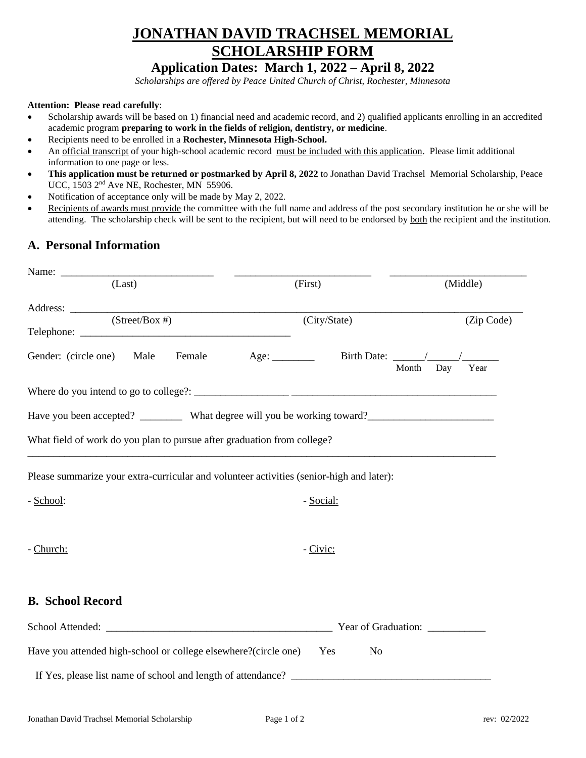## **JONATHAN DAVID TRACHSEL MEMORIAL SCHOLARSHIP FORM**

## **Application Dates: March 1, 2022 – April 8, 2022**

*Scholarships are offered by Peace United Church of Christ, Rochester, Minnesota*

## **Attention: Please read carefully**:

- Scholarship awards will be based on 1) financial need and academic record, and 2) qualified applicants enrolling in an accredited academic program **preparing to work in the fields of religion, dentistry, or medicine**.
- Recipients need to be enrolled in a **Rochester, Minnesota High-School.**
- An official transcript of your high-school academic record must be included with this application. Please limit additional information to one page or less.
- **This application must be returned or postmarked by April 8, 2022** to Jonathan David Trachsel Memorial Scholarship, Peace UCC, 1503 2nd Ave NE, Rochester, MN 55906.
- Notification of acceptance only will be made by May 2, 2022*.*
- Recipients of awards must provide the committee with the full name and address of the post secondary institution he or she will be attending. The scholarship check will be sent to the recipient, but will need to be endorsed by both the recipient and the institution.

## **A. Personal Information**

| (Last)                                                                                               | (First)      | (Middle)                       |
|------------------------------------------------------------------------------------------------------|--------------|--------------------------------|
|                                                                                                      |              |                                |
| $(Street/Box \#)$                                                                                    | (City/State) | (Zip Code)                     |
| Gender: (circle one) Male                                                                            |              | Month<br>Year<br>Day           |
|                                                                                                      |              |                                |
| Have you been accepted? __________ What degree will you be working toward? _________________________ |              |                                |
| What field of work do you plan to pursue after graduation from college?                              |              |                                |
| Please summarize your extra-curricular and volunteer activities (senior-high and later):             |              |                                |
| - School:                                                                                            | - Social:    |                                |
|                                                                                                      |              |                                |
| - Church:                                                                                            | - Civic:     |                                |
|                                                                                                      |              |                                |
| <b>B.</b> School Record                                                                              |              |                                |
|                                                                                                      |              | Year of Graduation: __________ |
| Have you attended high-school or college elsewhere?(circle one)                                      | Yes<br>No    |                                |
|                                                                                                      |              |                                |